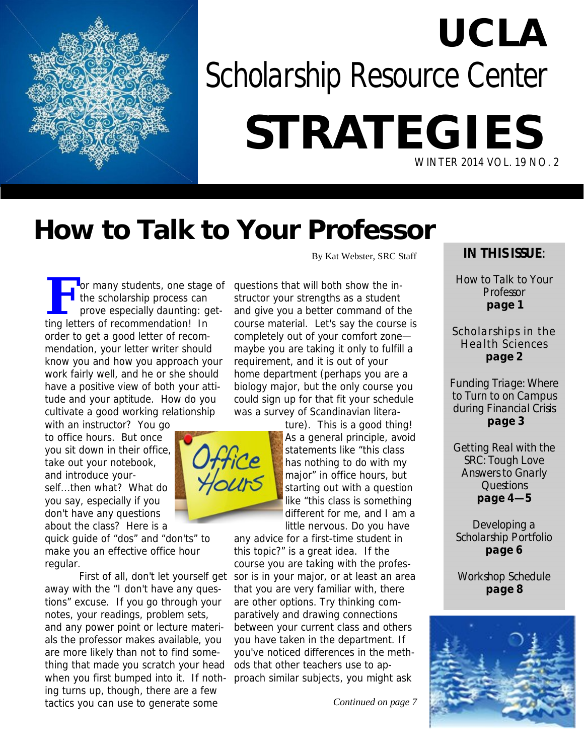

# **UCLA** *Scholarship Resource Center* **STRATEGIES** WINTER 2014 VOL. 19 NO. 2

### **How to Talk to Your Professor**

For many students, one stage of<br>the scholarship process can<br>prove especially daunting: getthe scholarship process can prove especially daunting: getting letters of recommendation! In order to get a good letter of recommendation, your letter writer should know you and how you approach your work fairly well, and he or she should have a positive view of both your attitude and your aptitude. How do you cultivate a good working relationship  $\mathbf \Omega$  or many students, one stage of questions that will both show the in-

with an instructor? You go to office hours. But once you sit down in their office, take out your notebook, and introduce yourself...then what? What do you say, especially if you don't have any questions about the class? Here is a

quick guide of "dos" and "don'ts" to make you an effective office hour regular.

away with the "I don't have any questions" excuse. If you go through your notes, your readings, problem sets, and any power point or lecture materials the professor makes available, you are more likely than not to find something that made you scratch your head ing turns up, though, there are a few tactics you can use to generate some

By Kat Webster, SRC Staff

structor your strengths as a student and give you a better command of the course material. Let's say the course is completely out of your comfort zone maybe you are taking it only to fulfill a requirement, and it is out of your home department (perhaps you are a biology major, but the only course you could sign up for that fit your schedule was a survey of Scandinavian litera-

ture). This is a good thing! As a general principle, avoid statements like "this class has nothing to do with my major" in office hours, but starting out with a question like "this class is something different for me, and I am a little nervous. Do you have

First of all, don't let yourself get sor is in your major, or at least an area when you first bumped into it. If noth-proach similar subjects, you might ask any advice for a first-time student in this topic?" is a great idea. If the course you are taking with the profesthat you are very familiar with, there are other options. Try thinking comparatively and drawing connections between your current class and others you have taken in the department. If you've noticed differences in the methods that other teachers use to ap-

*Continued on page 7*

#### **IN THIS ISSUE**:

How to Talk to Your **Professor page 1**

Scholarships in the Health Sciences **page 2**

Funding Triage: Where to Turn to on Campus during Financial Crisis **page 3**

Getting Real with the SRC: Tough Love Answers to Gnarly Questions **page 4—5**

Developing a Scholarship Portfolio **page 6**

Workshop Schedule **page 8**



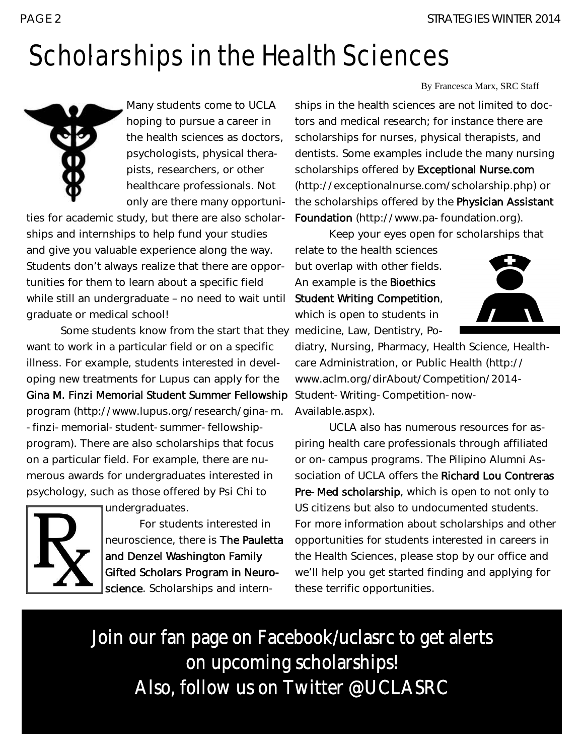## Scholarships in the Health Sciences



Many students come to UCLA hoping to pursue a career in the health sciences as doctors, psychologists, physical therapists, researchers, or other healthcare professionals. Not only are there many opportuni-

ties for academic study, but there are also scholarships and internships to help fund your studies and give you valuable experience along the way. Students don't always realize that there are opportunities for them to learn about a specific field while still an undergraduate – no need to wait until graduate or medical school!

Some students know from the start that they medicine, Law, Dentistry, Powant to work in a particular field or on a specific illness. For example, students interested in developing new treatments for Lupus can apply for the Gina M. Finzi Memorial Student Summer Fellowship program (http://www.lupus.org/research/gina-m. -finzi-memorial-student-summer-fellowshipprogram). There are also scholarships that focus on a particular field. For example, there are numerous awards for undergraduates interested in psychology, such as those offered by Psi Chi to



undergraduates. For students interested in neuroscience, there is The Pauletta and Denzel Washington Family Gifted Scholars Program in Neuro-

science. Scholarships and intern-

By Francesca Marx, SRC Staff

ships in the health sciences are not limited to doctors and medical research; for instance there are scholarships for nurses, physical therapists, and dentists. Some examples include the many nursing scholarships offered by Exceptional Nurse.com (http://exceptionalnurse.com/scholarship.php) or the scholarships offered by the Physician Assistant Foundation (http://www.pa-foundation.org).

Keep your eyes open for scholarships that

relate to the health sciences but overlap with other fields. An example is the Bioethics Student Writing Competition, which is open to students in



diatry, Nursing, Pharmacy, Health Science, Healthcare Administration, or Public Health (http:// www.aclm.org/dirAbout/Competition/2014- Student-Writing-Competition-now-Available.aspx).

UCLA also has numerous resources for aspiring health care professionals through affiliated or on-campus programs. The Pilipino Alumni Association of UCLA offers the Richard Lou Contreras Pre-Med scholarship, which is open to not only to US citizens but also to undocumented students. For more information about scholarships and other opportunities for students interested in careers in the Health Sciences, please stop by our office and we'll help you get started finding and applying for these terrific opportunities.

Join our fan page on Facebook/uclasrc to get alerts on upcoming scholarships! Also, follow us on Twitter @UCLASRC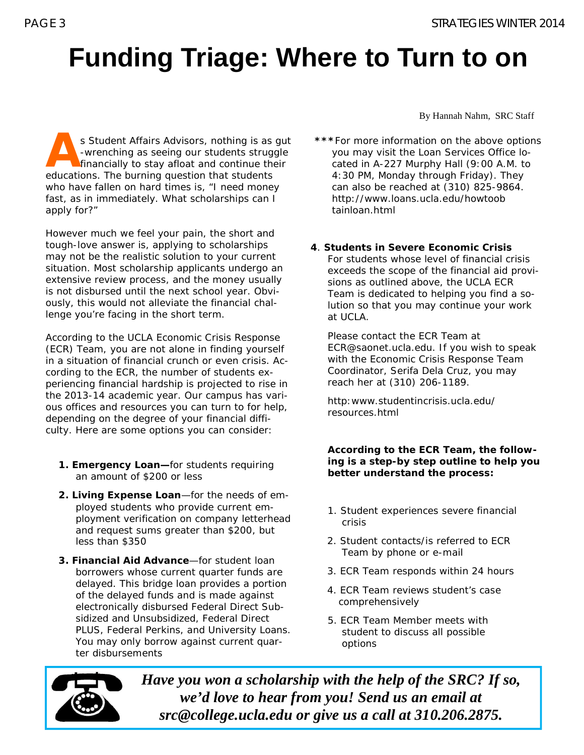### **Funding Triage: Where to Turn to on**

s Student Affairs Advisors, nothing is as gut<br>-wrenching as seeing our students struggle<br>financially to stay afloat and continue their<br>advertises. The burning question that students -wrenching as seeing our students struggle  $\blacktriangle$  financially to stay afloat and continue their educations. The burning question that students who have fallen on hard times is, "I need money fast, as in immediately. What scholarships can I apply for?"

However much we feel your pain, the short and tough-love answer is, applying to scholarships may not be the realistic solution to your current situation. Most scholarship applicants undergo an extensive review process, and the money usually is not disbursed until the next school year. Obviously, this would not alleviate the financial challenge you're facing in the short term.

According to the UCLA Economic Crisis Response (ECR) Team, you are not alone in finding yourself in a situation of financial crunch or even crisis. According to the ECR, the number of students experiencing financial hardship is projected to rise in the 2013-14 academic year. Our campus has various offices and resources you can turn to for help, depending on the degree of your financial difficulty. Here are some options you can consider:

- **1. Emergency Loan—**for students requiring an amount of \$200 or less
- **2. Living Expense Loan**—for the needs of employed students who provide current employment verification on company letterhead and request sums greater than \$200, but less than \$350
- **3. Financial Aid Advance**—for student loan borrowers whose current quarter funds are delayed. This bridge loan provides a portion of the delayed funds and is made against electronically disbursed Federal Direct Subsidized and Unsubsidized, Federal Direct PLUS, Federal Perkins, and University Loans. You may only borrow against current quarter disbursements

By Hannah Nahm, SRC Staff

- **\*\*\****For more information on the above options you may visit the Loan Services Office located in A-227 Murphy Hall (9:00 A.M. to 4:30 PM, Monday through Friday). They can also be reached at (310) 825-9864. http://www.loans.ucla.edu/howtoob tainloan.html*
- **4**. **Students in Severe Economic Crisis**  For students whose level of financial crisis exceeds the scope of the financial aid provisions as outlined above, the UCLA ECR Team is dedicated to helping you find a solution so that you may continue your work at UCLA.

*Please contact the ECR Team at ECR@saonet.ucla.edu. If you wish to speak with the Economic Crisis Response Team Coordinator, Serifa Dela Cruz, you may reach her at (310) 206-1189.*

*http:www.studentincrisis.ucla.edu/ resources.html*

**According to the ECR Team, the following is a step-by step outline to help you better understand the process:**

- 1. Student experiences severe financial crisis
- 2. Student contacts/is referred to ECR Team by phone or e-mail
- 3. ECR Team responds within 24 hours
- 4. ECR Team reviews student's case comprehensively
- 5. ECR Team Member meets with student to discuss all possible options



*Have you won a scholarship with the help of the SRC? If so, we'd love to hear from you! Send us an email at src@college.ucla.edu or give us a call at 310.206.2875.*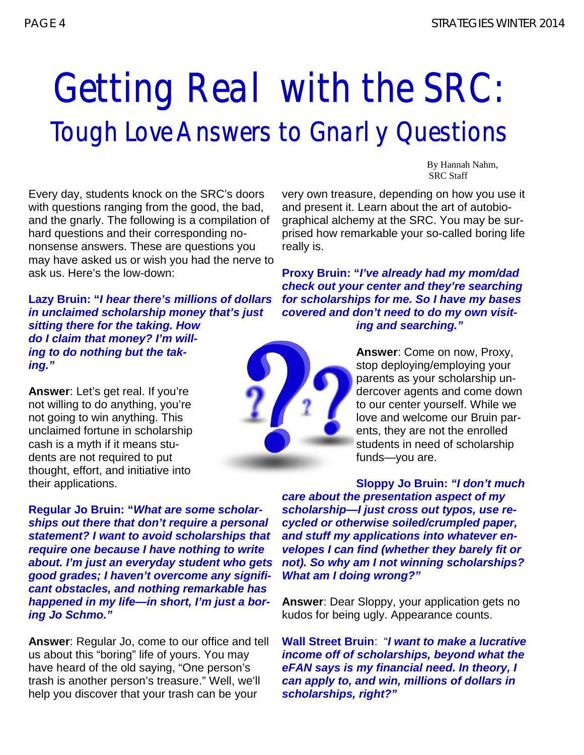# Getting Real with the SRC: Tough Love Answers to Gnarly Questions

Every day, students knock on the SRC's doors with questions ranging from the good, the bad, and the gnarly. The following is a compilation of hard questions and their corresponding nononsense answers. These are questions you may have asked us or wish you had the nerve to ask us. Here's the low-down:

**Lazy Bruin: "***I hear there's millions of dollars in unclaimed scholarship money that's just sitting there for the taking. How do I claim that money? I'm willing to do nothing but the taking."*

**Answer**: Let's get real. If you're not willing to do anything, you're not going to win anything. This unclaimed fortune in scholarship cash is a myth if it means students are not required to put thought, effort, and initiative into their applications.

**Regular Jo Bruin: "***What are some scholarships out there that don't require a personal statement? I want to avoid scholarships that require one because I have nothing to write about. I'm just an everyday student who gets good grades; I haven't overcome any significant obstacles, and nothing remarkable has happened in my life—in short, I'm just a boring Jo Schmo."*

**Answer**: Regular Jo, come to our office and tell us about this "boring" life of yours. You may have heard of the old saying, "One person's trash is another person's treasure." Well, we'll help you discover that your trash can be your

By Hannah Nahm, SRC Staff

very own treasure, depending on how you use it and present it. Learn about the art of autobiographical alchemy at the SRC. You may be surprised how remarkable your so-called boring life really is.

**Proxy Bruin: "***I've already had my mom/dad check out your center and they're searching for scholarships for me. So I have my bases covered and don't need to do my own visiting and searching."*

> **Answer**: Come on now, Proxy, stop deploying/employing your parents as your scholarship undercover agents and come down to our center yourself. While we love and welcome our Bruin parents, they are not the enrolled students in need of scholarship funds—you are.

**Sloppy Jo Bruin:** *"I don't much care about the presentation aspect of my scholarship—I just cross out typos, use recycled or otherwise soiled/crumpled paper, and stuff my applications into whatever envelopes I can find (whether they barely fit or not). So why am I not winning scholarships? What am I doing wrong?"*

**Answer**: Dear Sloppy, your application gets no kudos for being ugly. Appearance counts.

**Wall Street Bruin**: "*I want to make a lucrative income off of scholarships, beyond what the eFAN says is my financial need. In theory, I can apply to, and win, millions of dollars in scholarships, right?"* 

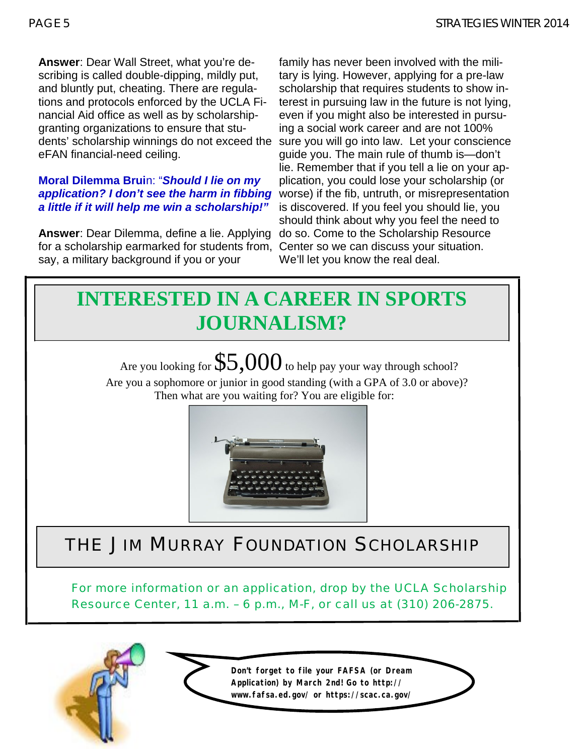**Answer**: Dear Wall Street, what you're describing is called double-dipping, mildly put, and bluntly put, cheating. There are regulations and protocols enforced by the UCLA Financial Aid office as well as by scholarshipgranting organizations to ensure that students' scholarship winnings do not exceed the eFAN financial-need ceiling.

#### **Moral Dilemma Brui**n: "*Should I lie on my application? I don't see the harm in fibbing a little if it will help me win a scholarship!"*

**Answer**: Dear Dilemma, define a lie. Applying for a scholarship earmarked for students from, Center so we can discuss your situation. say, a military background if you or your

family has never been involved with the military is lying. However, applying for a pre-law scholarship that requires students to show interest in pursuing law in the future is not lying, even if you might also be interested in pursuing a social work career and are not 100% sure you will go into law. Let your conscience guide you. The main rule of thumb is—don't lie. Remember that if you tell a lie on your application, you could lose your scholarship (or worse) if the fib, untruth, or misrepresentation is discovered. If you feel you should lie, you should think about why you feel the need to do so. Come to the Scholarship Resource We'll let you know the real deal.



Are you looking for  $$5,000$  to help pay your way through school? Are you a sophomore or junior in good standing (with a GPA of 3.0 or above)? Then what are you waiting for? You are eligible for:



### THE JIM MURRAY FOUNDATION SCHOLARSHIP

For more information or an application, drop by the UCLA Scholarship Resource Center, 11 a.m. – 6 p.m., M-F, or call us at (310) 206-2875.

> **Don't forget to file your FAFSA (or Dream Application) by March 2nd! Go to http:// www.fafsa.ed.gov/ or https://scac.ca.gov/**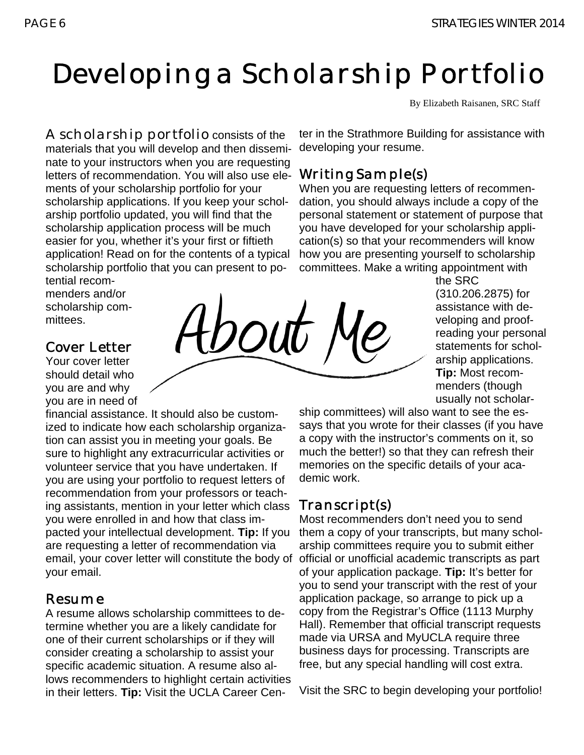### Developing a Scholarship Portfolio

bout

By Elizabeth Raisanen, SRC Staff

A scholarship portfolio consists of the materials that you will develop and then disseminate to your instructors when you are requesting letters of recommendation. You will also use ele- Writing Sample(s) ments of your scholarship portfolio for your scholarship applications. If you keep your scholarship portfolio updated, you will find that the scholarship application process will be much easier for you, whether it's your first or fiftieth application! Read on for the contents of a typical scholarship portfolio that you can present to potential recom-

menders and/or scholarship committees.

#### Cover Letter

Your cover letter should detail who you are and why you are in need of

financial assistance. It should also be customized to indicate how each scholarship organization can assist you in meeting your goals. Be sure to highlight any extracurricular activities or volunteer service that you have undertaken. If you are using your portfolio to request letters of recommendation from your professors or teaching assistants, mention in your letter which class you were enrolled in and how that class impacted your intellectual development. **Tip:** If you are requesting a letter of recommendation via email, your cover letter will constitute the body of official or unofficial academic transcripts as part your email.

#### Resume

A resume allows scholarship committees to determine whether you are a likely candidate for one of their current scholarships or if they will consider creating a scholarship to assist your specific academic situation. A resume also allows recommenders to highlight certain activities in their letters. **Tip:** Visit the UCLA Career Cen-

ter in the Strathmore Building for assistance with developing your resume.

When you are requesting letters of recommendation, you should always include a copy of the personal statement or statement of purpose that you have developed for your scholarship application(s) so that your recommenders will know how you are presenting yourself to scholarship committees. Make a writing appointment with

the SRC (310.206.2875) for assistance with developing and proofreading your personal statements for scholarship applications. **Tip:** Most recommenders (though usually not scholar-

ship committees) will also want to see the essays that you wrote for their classes (if you have a copy with the instructor's comments on it, so much the better!) so that they can refresh their memories on the specific details of your academic work.

#### Transcript(s)

Most recommenders don't need you to send them a copy of your transcripts, but many scholarship committees require you to submit either of your application package. **Tip:** It's better for you to send your transcript with the rest of your application package, so arrange to pick up a copy from the Registrar's Office (1113 Murphy Hall). Remember that official transcript requests made via URSA and MyUCLA require three business days for processing. Transcripts are free, but any special handling will cost extra.

Visit the SRC to begin developing your portfolio!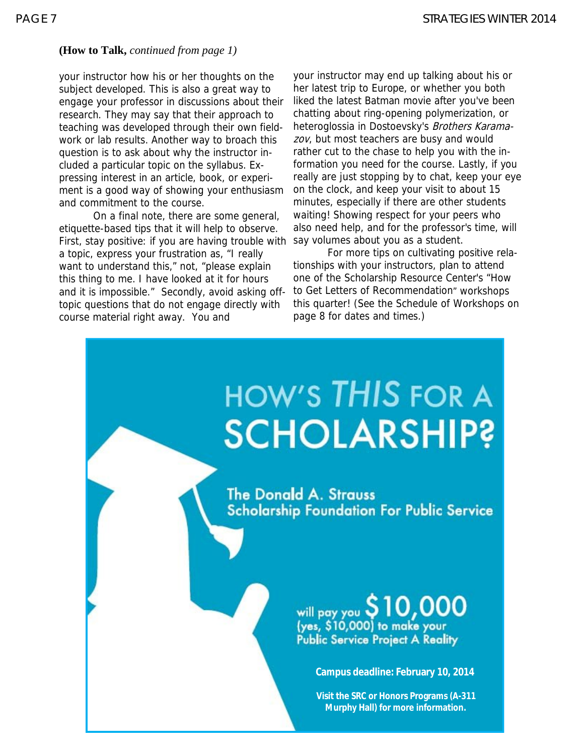#### **(How to Talk,** *continued from page 1)*

your instructor how his or her thoughts on the subject developed. This is also a great way to engage your professor in discussions about their research. They may say that their approach to teaching was developed through their own fieldwork or lab results. Another way to broach this question is to ask about why the instructor included a particular topic on the syllabus. Expressing interest in an article, book, or experiment is a good way of showing your enthusiasm and commitment to the course.

On a final note, there are some general, etiquette-based tips that it will help to observe. First, stay positive: if you are having trouble with a topic, express your frustration as, "I really want to understand this," not, "please explain this thing to me. I have looked at it for hours and it is impossible." Secondly, avoid asking offtopic questions that do not engage directly with course material right away. You and

your instructor may end up talking about his or her latest trip to Europe, or whether you both liked the latest Batman movie after you've been chatting about ring-opening polymerization, or heteroglossia in Dostoevsky's Brothers Karamazov, but most teachers are busy and would rather cut to the chase to help you with the information you need for the course. Lastly, if you really are just stopping by to chat, keep your eye on the clock, and keep your visit to about 15 minutes, especially if there are other students waiting! Showing respect for your peers who also need help, and for the professor's time, will say volumes about you as a student.

For more tips on cultivating positive relationships with your instructors, plan to attend one of the Scholarship Resource Center's "How to Get Letters of Recommendation" workshops this quarter! (See the Schedule of Workshops on page 8 for dates and times.)